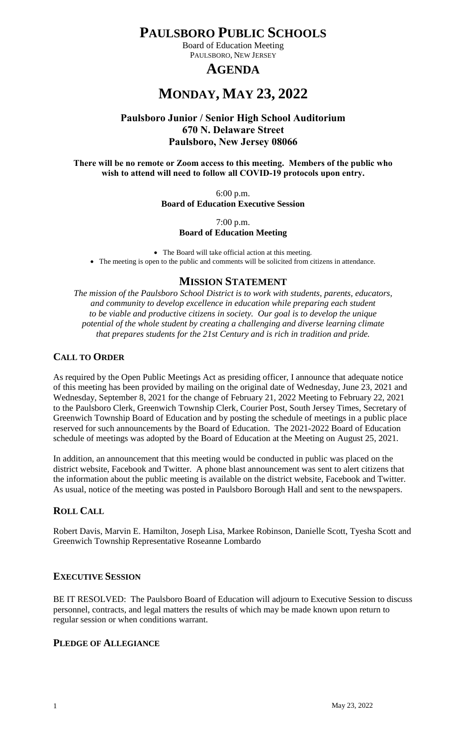# **PAULSBORO PUBLIC SCHOOLS**

Board of Education Meeting PAULSBORO, NEW JERSEY

# **AGENDA**

# **MONDAY, MAY 23, 2022**

# **Paulsboro Junior / Senior High School Auditorium 670 N. Delaware Street Paulsboro, New Jersey 08066**

#### **There will be no remote or Zoom access to this meeting. Members of the public who wish to attend will need to follow all COVID-19 protocols upon entry.**

6:00 p.m. **Board of Education Executive Session**

7:00 p.m.

# **Board of Education Meeting**

 The Board will take official action at this meeting. The meeting is open to the public and comments will be solicited from citizens in attendance.

# **MISSION STATEMENT**

*The mission of the Paulsboro School District is to work with students, parents, educators, and community to develop excellence in education while preparing each student to be viable and productive citizens in society. Our goal is to develop the unique potential of the whole student by creating a challenging and diverse learning climate that prepares students for the 21st Century and is rich in tradition and pride.*

# **CALL TO ORDER**

As required by the Open Public Meetings Act as presiding officer, I announce that adequate notice of this meeting has been provided by mailing on the original date of Wednesday, June 23, 2021 and Wednesday, September 8, 2021 for the change of February 21, 2022 Meeting to February 22, 2021 to the Paulsboro Clerk, Greenwich Township Clerk, Courier Post, South Jersey Times, Secretary of Greenwich Township Board of Education and by posting the schedule of meetings in a public place reserved for such announcements by the Board of Education. The 2021-2022 Board of Education schedule of meetings was adopted by the Board of Education at the Meeting on August 25, 2021.

In addition, an announcement that this meeting would be conducted in public was placed on the district website, Facebook and Twitter. A phone blast announcement was sent to alert citizens that the information about the public meeting is available on the district website, Facebook and Twitter. As usual, notice of the meeting was posted in Paulsboro Borough Hall and sent to the newspapers.

# **ROLL CALL**

Robert Davis, Marvin E. Hamilton, Joseph Lisa, Markee Robinson, Danielle Scott, Tyesha Scott and Greenwich Township Representative Roseanne Lombardo

# **EXECUTIVE SESSION**

BE IT RESOLVED: The Paulsboro Board of Education will adjourn to Executive Session to discuss personnel, contracts, and legal matters the results of which may be made known upon return to regular session or when conditions warrant.

# **PLEDGE OF ALLEGIANCE**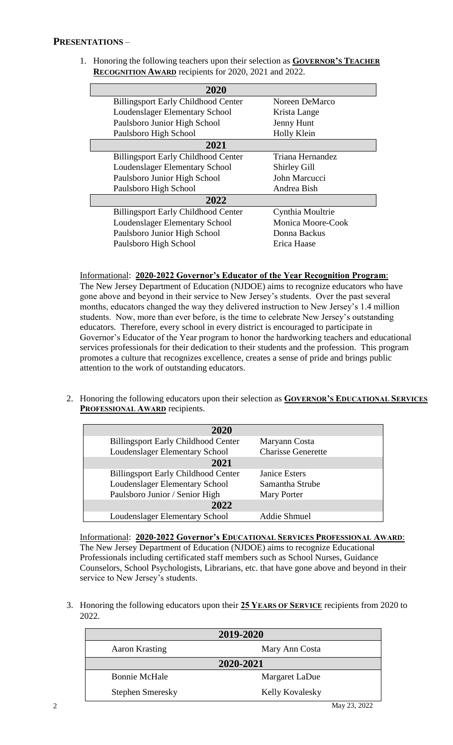1. Honoring the following teachers upon their selection as **GOVERNOR'S TEACHER RECOGNITION AWARD** recipients for 2020, 2021 and 2022.

| 2020                                       |                     |
|--------------------------------------------|---------------------|
| <b>Billingsport Early Childhood Center</b> | Noreen DeMarco      |
| Loudenslager Elementary School             | Krista Lange        |
| Paulsboro Junior High School               | Jenny Hunt          |
| Paulsboro High School                      | Holly Klein         |
| 2021                                       |                     |
| <b>Billingsport Early Childhood Center</b> | Triana Hernandez    |
| Loudenslager Elementary School             | <b>Shirley Gill</b> |
| Paulsboro Junior High School               | John Marcucci       |
| Paulsboro High School                      | Andrea Bish         |
| 2022                                       |                     |
| <b>Billingsport Early Childhood Center</b> | Cynthia Moultrie    |
| Loudenslager Elementary School             | Monica Moore-Cook   |
| Paulsboro Junior High School               | Donna Backus        |
| Paulsboro High School                      | Erica Haase         |

#### Informational: **2020-2022 Governor's Educator of the Year Recognition Program**:

The New Jersey Department of Education (NJDOE) aims to recognize educators who have gone above and beyond in their service to New Jersey's students. Over the past several months, educators changed the way they delivered instruction to New Jersey's 1.4 million students. Now, more than ever before, is the time to celebrate New Jersey's outstanding educators. Therefore, every school in every district is encouraged to participate in Governor's Educator of the Year program to honor the hardworking teachers and educational services professionals for their dedication to their students and the profession. This program promotes a culture that recognizes excellence, creates a sense of pride and brings public attention to the work of outstanding educators.

2. Honoring the following educators upon their selection as **GOVERNOR'S EDUCATIONAL SERVICES PROFESSIONAL AWARD** recipients.

| 2020                                       |                           |
|--------------------------------------------|---------------------------|
| <b>Billingsport Early Childhood Center</b> | Maryann Costa             |
| Loudenslager Elementary School             | <b>Charisse Generette</b> |
| 2021                                       |                           |
| <b>Billingsport Early Childhood Center</b> | <b>Janice Esters</b>      |
| Loudenslager Elementary School             | Samantha Strube           |
| Paulsboro Junior / Senior High             | <b>Mary Porter</b>        |
| 2022                                       |                           |
| Loudenslager Elementary School             | <b>Addie Shmuel</b>       |

Informational: **2020-2022 Governor's EDUCATIONAL SERVICES PROFESSIONAL AWARD**: The New Jersey Department of Education (NJDOE) aims to recognize Educational Professionals including certificated staff members such as School Nurses, Guidance Counselors, School Psychologists, Librarians, etc. that have gone above and beyond in their service to New Jersey's students.

3. Honoring the following educators upon their **25 YEARS OF SERVICE** recipients from 2020 to 2022.

|                         | 2019-2020              |              |
|-------------------------|------------------------|--------------|
| <b>Aaron Krasting</b>   | Mary Ann Costa         |              |
|                         | 2020-2021              |              |
| <b>Bonnie McHale</b>    | Margaret LaDue         |              |
| <b>Stephen Smeresky</b> | <b>Kelly Kovalesky</b> |              |
|                         |                        | May 23, 2022 |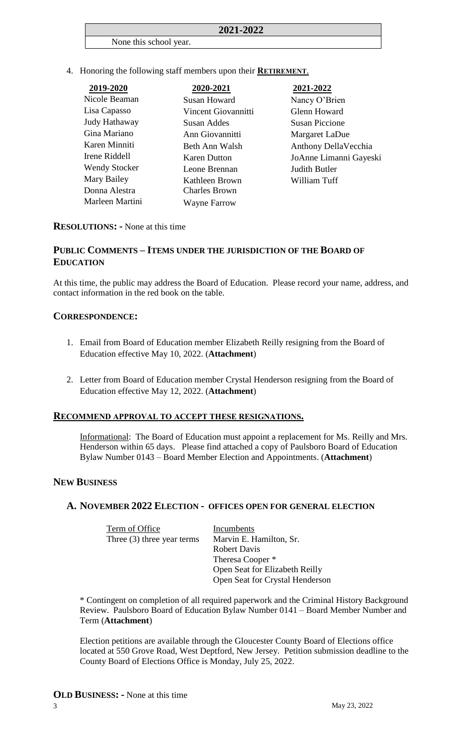#### **2021-2022**

#### None this school year.

4. Honoring the following staff members upon their **RETIREMENT**.

| 2019-2020            | 2020-2021            | 2021-2022              |
|----------------------|----------------------|------------------------|
| Nicole Beaman        | Susan Howard         | Nancy O'Brien          |
| Lisa Capasso         | Vincent Giovannitti  | Glenn Howard           |
| Judy Hathaway        | Susan Addes          | <b>Susan Piccione</b>  |
| Gina Mariano         | Ann Giovannitti      | Margaret LaDue         |
| Karen Minniti        | Beth Ann Walsh       | Anthony DellaVecchia   |
| Irene Riddell        | <b>Karen Dutton</b>  | JoAnne Limanni Gayeski |
| <b>Wendy Stocker</b> | Leone Brennan        | Judith Butler          |
| Mary Bailey          | Kathleen Brown       | William Tuff           |
| Donna Alestra        | <b>Charles Brown</b> |                        |
| Marleen Martini      | <b>Wayne Farrow</b>  |                        |

#### **RESOLUTIONS: -** None at this time

### **PUBLIC COMMENTS – ITEMS UNDER THE JURISDICTION OF THE BOARD OF EDUCATION**

At this time, the public may address the Board of Education. Please record your name, address, and contact information in the red book on the table.

#### **CORRESPONDENCE:**

- 1. Email from Board of Education member Elizabeth Reilly resigning from the Board of Education effective May 10, 2022. (**Attachment**)
- 2. Letter from Board of Education member Crystal Henderson resigning from the Board of Education effective May 12, 2022. (**Attachment**)

#### **RECOMMEND APPROVAL TO ACCEPT THESE RESIGNATIONS.**

Informational: The Board of Education must appoint a replacement for Ms. Reilly and Mrs. Henderson within 65 days. Please find attached a copy of Paulsboro Board of Education Bylaw Number 0143 – Board Member Election and Appointments. (**Attachment**)

#### **NEW BUSINESS**

# **A. NOVEMBER 2022 ELECTION - OFFICES OPEN FOR GENERAL ELECTION**

| Term of Office               | Incumbents                      |
|------------------------------|---------------------------------|
| Three $(3)$ three year terms | Marvin E. Hamilton, Sr.         |
|                              | <b>Robert Davis</b>             |
|                              | Theresa Cooper <sup>*</sup>     |
|                              | Open Seat for Elizabeth Reilly  |
|                              | Open Seat for Crystal Henderson |

\* Contingent on completion of all required paperwork and the Criminal History Background Review. Paulsboro Board of Education Bylaw Number 0141 – Board Member Number and Term (**Attachment**)

Election petitions are available through the Gloucester County Board of Elections office located at 550 Grove Road, West Deptford, New Jersey. Petition submission deadline to the County Board of Elections Office is Monday, July 25, 2022.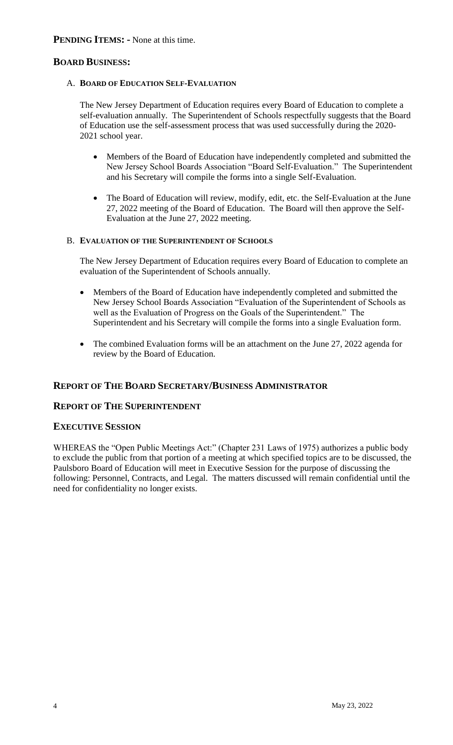# **BOARD BUSINESS:**

#### A. **BOARD OF EDUCATION SELF-EVALUATION**

The New Jersey Department of Education requires every Board of Education to complete a self-evaluation annually. The Superintendent of Schools respectfully suggests that the Board of Education use the self-assessment process that was used successfully during the 2020- 2021 school year.

- Members of the Board of Education have independently completed and submitted the New Jersey School Boards Association "Board Self-Evaluation." The Superintendent and his Secretary will compile the forms into a single Self-Evaluation.
- The Board of Education will review, modify, edit, etc. the Self-Evaluation at the June 27, 2022 meeting of the Board of Education. The Board will then approve the Self-Evaluation at the June 27, 2022 meeting.

#### B. **EVALUATION OF THE SUPERINTENDENT OF SCHOOLS**

The New Jersey Department of Education requires every Board of Education to complete an evaluation of the Superintendent of Schools annually.

- Members of the Board of Education have independently completed and submitted the New Jersey School Boards Association "Evaluation of the Superintendent of Schools as well as the Evaluation of Progress on the Goals of the Superintendent." The Superintendent and his Secretary will compile the forms into a single Evaluation form.
- The combined Evaluation forms will be an attachment on the June 27, 2022 agenda for review by the Board of Education.

# **REPORT OF THE BOARD SECRETARY/BUSINESS ADMINISTRATOR**

#### **REPORT OF THE SUPERINTENDENT**

#### **EXECUTIVE SESSION**

WHEREAS the "Open Public Meetings Act:" (Chapter 231 Laws of 1975) authorizes a public body to exclude the public from that portion of a meeting at which specified topics are to be discussed, the Paulsboro Board of Education will meet in Executive Session for the purpose of discussing the following: Personnel, Contracts, and Legal. The matters discussed will remain confidential until the need for confidentiality no longer exists.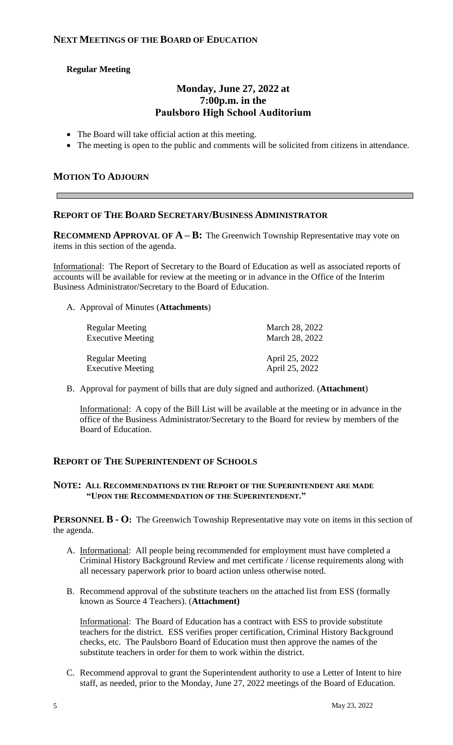# **Regular Meeting**

# **Monday, June 27, 2022 at 7:00p.m. in the Paulsboro High School Auditorium**

- The Board will take official action at this meeting.
- The meeting is open to the public and comments will be solicited from citizens in attendance.

# **MOTION TO ADJOURN**

### **REPORT OF THE BOARD SECRETARY/BUSINESS ADMINISTRATOR**

**RECOMMEND APPROVAL OF**  $A - B$ **:** The Greenwich Township Representative may vote on items in this section of the agenda.

Informational: The Report of Secretary to the Board of Education as well as associated reports of accounts will be available for review at the meeting or in advance in the Office of the Interim Business Administrator/Secretary to the Board of Education.

A. Approval of Minutes (**Attachments**)

| Regular Meeting          | March 28, 2022 |
|--------------------------|----------------|
| <b>Executive Meeting</b> | March 28, 2022 |
| <b>Regular Meeting</b>   | April 25, 2022 |
| <b>Executive Meeting</b> | April 25, 2022 |

B. Approval for payment of bills that are duly signed and authorized. (**Attachment**)

Informational: A copy of the Bill List will be available at the meeting or in advance in the office of the Business Administrator/Secretary to the Board for review by members of the Board of Education.

# **REPORT OF THE SUPERINTENDENT OF SCHOOLS**

#### **NOTE: ALL RECOMMENDATIONS IN THE REPORT OF THE SUPERINTENDENT ARE MADE "UPON THE RECOMMENDATION OF THE SUPERINTENDENT."**

**PERSONNEL B - O:** The Greenwich Township Representative may vote on items in this section of the agenda.

- A. Informational: All people being recommended for employment must have completed a Criminal History Background Review and met certificate / license requirements along with all necessary paperwork prior to board action unless otherwise noted.
- B. Recommend approval of the substitute teachers on the attached list from ESS (formally known as Source 4 Teachers). (**Attachment)**

Informational: The Board of Education has a contract with ESS to provide substitute teachers for the district. ESS verifies proper certification, Criminal History Background checks, etc. The Paulsboro Board of Education must then approve the names of the substitute teachers in order for them to work within the district.

C. Recommend approval to grant the Superintendent authority to use a Letter of Intent to hire staff, as needed, prior to the Monday, June 27, 2022 meetings of the Board of Education.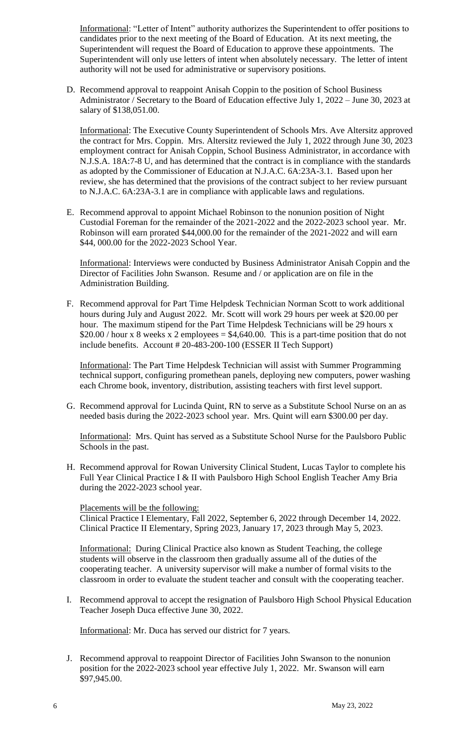Informational: "Letter of Intent" authority authorizes the Superintendent to offer positions to candidates prior to the next meeting of the Board of Education. At its next meeting, the Superintendent will request the Board of Education to approve these appointments. The Superintendent will only use letters of intent when absolutely necessary. The letter of intent authority will not be used for administrative or supervisory positions.

D. Recommend approval to reappoint Anisah Coppin to the position of School Business Administrator / Secretary to the Board of Education effective July 1, 2022 – June 30, 2023 at salary of \$138,051.00.

Informational: The Executive County Superintendent of Schools Mrs. Ave Altersitz approved the contract for Mrs. Coppin. Mrs. Altersitz reviewed the July 1, 2022 through June 30, 2023 employment contract for Anisah Coppin, School Business Administrator, in accordance with N.J.S.A. 18A:7-8 U, and has determined that the contract is in compliance with the standards as adopted by the Commissioner of Education at N.J.A.C. 6A:23A-3.1. Based upon her review, she has determined that the provisions of the contract subject to her review pursuant to N.J.A.C. 6A:23A-3.1 are in compliance with applicable laws and regulations.

E. Recommend approval to appoint Michael Robinson to the nonunion position of Night Custodial Foreman for the remainder of the 2021-2022 and the 2022-2023 school year. Mr. Robinson will earn prorated \$44,000.00 for the remainder of the 2021-2022 and will earn \$44, 000.00 for the 2022-2023 School Year.

Informational: Interviews were conducted by Business Administrator Anisah Coppin and the Director of Facilities John Swanson. Resume and / or application are on file in the Administration Building.

F. Recommend approval for Part Time Helpdesk Technician Norman Scott to work additional hours during July and August 2022. Mr. Scott will work 29 hours per week at \$20.00 per hour. The maximum stipend for the Part Time Helpdesk Technicians will be 29 hours x  $$20.00$  / hour x 8 weeks x 2 employees =  $$4,640.00$ . This is a part-time position that do not include benefits. Account # 20-483-200-100 (ESSER II Tech Support)

Informational: The Part Time Helpdesk Technician will assist with Summer Programming technical support, configuring promethean panels, deploying new computers, power washing each Chrome book, inventory, distribution, assisting teachers with first level support.

G. Recommend approval for Lucinda Quint, RN to serve as a Substitute School Nurse on an as needed basis during the 2022-2023 school year. Mrs. Quint will earn \$300.00 per day.

Informational: Mrs. Quint has served as a Substitute School Nurse for the Paulsboro Public Schools in the past.

H. Recommend approval for Rowan University Clinical Student, Lucas Taylor to complete his Full Year Clinical Practice I & II with Paulsboro High School English Teacher Amy Bria during the 2022-2023 school year.

#### Placements will be the following:

Clinical Practice I Elementary, Fall 2022, September 6, 2022 through December 14, 2022. Clinical Practice II Elementary, Spring 2023, January 17, 2023 through May 5, 2023.

Informational: During Clinical Practice also known as Student Teaching, the college students will observe in the classroom then gradually assume all of the duties of the cooperating teacher. A university supervisor will make a number of formal visits to the classroom in order to evaluate the student teacher and consult with the cooperating teacher.

I. Recommend approval to accept the resignation of Paulsboro High School Physical Education Teacher Joseph Duca effective June 30, 2022.

Informational: Mr. Duca has served our district for 7 years.

J. Recommend approval to reappoint Director of Facilities John Swanson to the nonunion position for the 2022-2023 school year effective July 1, 2022. Mr. Swanson will earn \$97,945.00.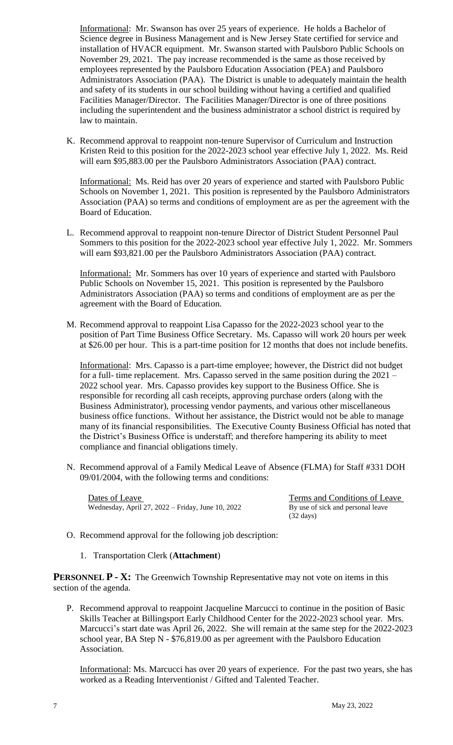Informational: Mr. Swanson has over 25 years of experience. He holds a Bachelor of Science degree in Business Management and is New Jersey State certified for service and installation of HVACR equipment. Mr. Swanson started with Paulsboro Public Schools on November 29, 2021. The pay increase recommended is the same as those received by employees represented by the Paulsboro Education Association (PEA) and Paulsboro Administrators Association (PAA). The District is unable to adequately maintain the health and safety of its students in our school building without having a certified and qualified Facilities Manager/Director. The Facilities Manager/Director is one of three positions including the superintendent and the business administrator a school district is required by law to maintain.

K. Recommend approval to reappoint non-tenure Supervisor of Curriculum and Instruction Kristen Reid to this position for the 2022-2023 school year effective July 1, 2022. Ms. Reid will earn \$95,883.00 per the Paulsboro Administrators Association (PAA) contract.

Informational: Ms. Reid has over 20 years of experience and started with Paulsboro Public Schools on November 1, 2021. This position is represented by the Paulsboro Administrators Association (PAA) so terms and conditions of employment are as per the agreement with the Board of Education.

L. Recommend approval to reappoint non-tenure Director of District Student Personnel Paul Sommers to this position for the 2022-2023 school year effective July 1, 2022. Mr. Sommers will earn \$93,821.00 per the Paulsboro Administrators Association (PAA) contract.

Informational: Mr. Sommers has over 10 years of experience and started with Paulsboro Public Schools on November 15, 2021. This position is represented by the Paulsboro Administrators Association (PAA) so terms and conditions of employment are as per the agreement with the Board of Education.

M. Recommend approval to reappoint Lisa Capasso for the 2022-2023 school year to the position of Part Time Business Office Secretary. Ms. Capasso will work 20 hours per week at \$26.00 per hour. This is a part-time position for 12 months that does not include benefits.

Informational: Mrs. Capasso is a part-time employee; however, the District did not budget for a full- time replacement. Mrs. Capasso served in the same position during the 2021 – 2022 school year. Mrs. Capasso provides key support to the Business Office. She is responsible for recording all cash receipts, approving purchase orders (along with the Business Administrator), processing vendor payments, and various other miscellaneous business office functions. Without her assistance, the District would not be able to manage many of its financial responsibilities. The Executive County Business Official has noted that the District's Business Office is understaff; and therefore hampering its ability to meet compliance and financial obligations timely.

N. Recommend approval of a Family Medical Leave of Absence (FLMA) for Staff #331 DOH 09/01/2004, with the following terms and conditions:

Dates of Leave<br>Wednesday, April 27, 2022 – Friday, June 10, 2022<br>By use of sick and personal leave Wednesday, April 27,  $2022$  – Friday, June 10, 2022

(32 days)

- O. Recommend approval for the following job description:
	- 1. Transportation Clerk (**Attachment**)

**PERSONNEL P - X:** The Greenwich Township Representative may not vote on items in this section of the agenda.

P. Recommend approval to reappoint Jacqueline Marcucci to continue in the position of Basic Skills Teacher at Billingsport Early Childhood Center for the 2022-2023 school year. Mrs. Marcucci's start date was April 26, 2022. She will remain at the same step for the 2022-2023 school year, BA Step N - \$76,819.00 as per agreement with the Paulsboro Education Association.

Informational: Ms. Marcucci has over 20 years of experience. For the past two years, she has worked as a Reading Interventionist / Gifted and Talented Teacher.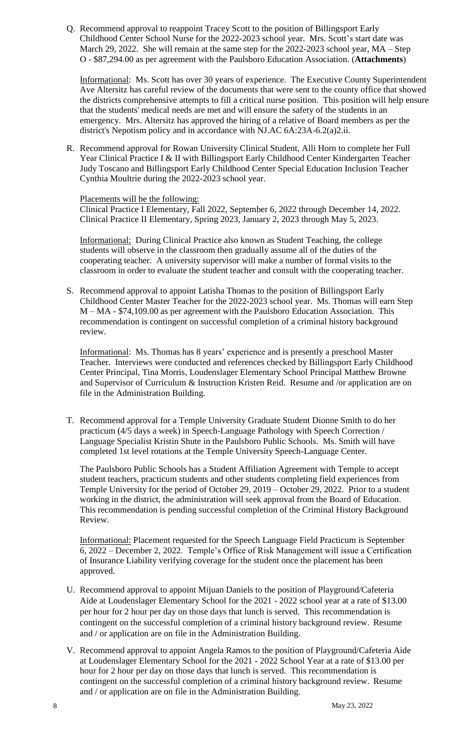Q. Recommend approval to reappoint Tracey Scott to the position of Billingsport Early Childhood Center School Nurse for the 2022-2023 school year. Mrs. Scott's start date was March 29, 2022. She will remain at the same step for the 2022-2023 school year, MA – Step O - \$87,294.00 as per agreement with the Paulsboro Education Association. (**Attachments**)

Informational: Ms. Scott has over 30 years of experience. The Executive County Superintendent Ave Altersitz has careful review of the documents that were sent to the county office that showed the districts comprehensive attempts to fill a critical nurse position. This position will help ensure that the students' medical needs are met and will ensure the safety of the students in an emergency. Mrs. Altersitz has approved the hiring of a relative of Board members as per the district's Nepotism policy and in accordance with NJ.AC 6A:23A-6.2(a)2.ii.

R. Recommend approval for Rowan University Clinical Student, Alli Horn to complete her Full Year Clinical Practice I & II with Billingsport Early Childhood Center Kindergarten Teacher Judy Toscano and Billingsport Early Childhood Center Special Education Inclusion Teacher Cynthia Moultrie during the 2022-2023 school year.

#### Placements will be the following:

Clinical Practice I Elementary, Fall 2022, September 6, 2022 through December 14, 2022. Clinical Practice II Elementary, Spring 2023, January 2, 2023 through May 5, 2023.

Informational: During Clinical Practice also known as Student Teaching, the college students will observe in the classroom then gradually assume all of the duties of the cooperating teacher. A university supervisor will make a number of formal visits to the classroom in order to evaluate the student teacher and consult with the cooperating teacher.

S. Recommend approval to appoint Latisha Thomas to the position of Billingsport Early Childhood Center Master Teacher for the 2022-2023 school year. Ms. Thomas will earn Step M – MA - \$74,109.00 as per agreement with the Paulsboro Education Association. This recommendation is contingent on successful completion of a criminal history background review.

Informational: Ms. Thomas has 8 years' experience and is presently a preschool Master Teacher. Interviews were conducted and references checked by Billingsport Early Childhood Center Principal, Tina Morris, Loudenslager Elementary School Principal Matthew Browne and Supervisor of Curriculum & Instruction Kristen Reid. Resume and /or application are on file in the Administration Building.

T. Recommend approval for a Temple University Graduate Student Dionne Smith to do her practicum (4/5 days a week) in Speech-Language Pathology with Speech Correction / Language Specialist Kristin Shute in the Paulsboro Public Schools. Ms. Smith will have completed 1st level rotations at the Temple University Speech-Language Center.

The Paulsboro Public Schools has a Student Affiliation Agreement with Temple to accept student teachers, practicum students and other students completing field experiences from Temple University for the period of October 29, 2019 – October 29, 2022. Prior to a student working in the district, the administration will seek approval from the Board of Education. This recommendation is pending successful completion of the Criminal History Background Review.

Informational: Placement requested for the Speech Language Field Practicum is September 6, 2022 – December 2, 2022. Temple's Office of Risk Management will issue a Certification of Insurance Liability verifying coverage for the student once the placement has been approved.

- U. Recommend approval to appoint Mijuan Daniels to the position of Playground/Cafeteria Aide at Loudenslager Elementary School for the 2021 - 2022 school year at a rate of \$13.00 per hour for 2 hour per day on those days that lunch is served. This recommendation is contingent on the successful completion of a criminal history background review. Resume and / or application are on file in the Administration Building.
- V. Recommend approval to appoint Angela Ramos to the position of Playground/Cafeteria Aide at Loudenslager Elementary School for the 2021 - 2022 School Year at a rate of \$13.00 per hour for 2 hour per day on those days that lunch is served. This recommendation is contingent on the successful completion of a criminal history background review. Resume and / or application are on file in the Administration Building.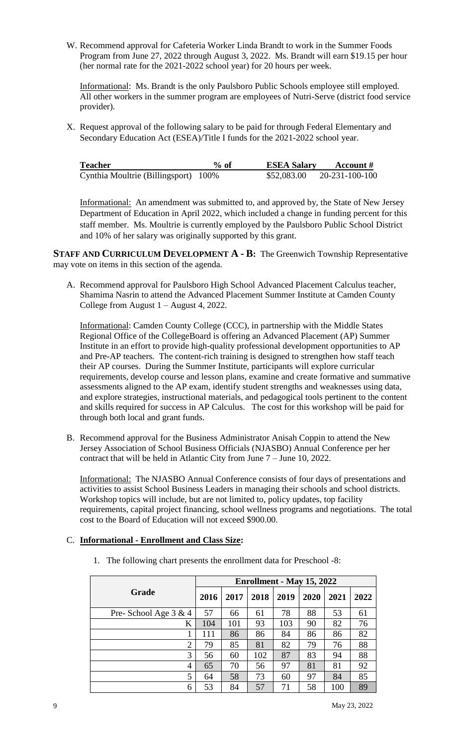W. Recommend approval for Cafeteria Worker Linda Brandt to work in the Summer Foods Program from June 27, 2022 through August 3, 2022. Ms. Brandt will earn \$19.15 per hour (her normal rate for the 2021-2022 school year) for 20 hours per week.

Informational: Ms. Brandt is the only Paulsboro Public Schools employee still employed. All other workers in the summer program are employees of Nutri-Serve (district food service provider).

X. Request approval of the following salary to be paid for through Federal Elementary and Secondary Education Act (ESEA)/Title I funds for the 2021-2022 school year.

| <b>Teacher</b>                       | $\%$ of | <b>ESEA Salary</b> | Account #      |
|--------------------------------------|---------|--------------------|----------------|
| Cynthia Moultrie (Billingsport) 100% |         | \$52,083.00        | 20-231-100-100 |

Informational: An amendment was submitted to, and approved by, the State of New Jersey Department of Education in April 2022, which included a change in funding percent for this staff member. Ms. Moultrie is currently employed by the Paulsboro Public School District and 10% of her salary was originally supported by this grant.

**STAFF AND CURRICULUM DEVELOPMENT A - B:** The Greenwich Township Representative may vote on items in this section of the agenda.

A. Recommend approval for Paulsboro High School Advanced Placement Calculus teacher, Shamima Nasrin to attend the Advanced Placement Summer Institute at Camden County College from August 1 – August 4, 2022.

Informational: Camden County College (CCC), in partnership with the Middle States Regional Office of the CollegeBoard is offering an Advanced Placement (AP) Summer Institute in an effort to provide high-quality professional development opportunities to AP and Pre-AP teachers. The content-rich training is designed to strengthen how staff teach their AP courses. During the Summer Institute, participants will explore curricular requirements, develop course and lesson plans, examine and create formative and summative assessments aligned to the AP exam, identify student strengths and weaknesses using data, and explore strategies, instructional materials, and pedagogical tools pertinent to the content and skills required for success in AP Calculus. The cost for this workshop will be paid for through both local and grant funds.

B. Recommend approval for the Business Administrator Anisah Coppin to attend the New Jersey Association of School Business Officials (NJASBO) Annual Conference per her contract that will be held in Atlantic City from June 7 – June 10, 2022.

Informational: The NJASBO Annual Conference consists of four days of presentations and activities to assist School Business Leaders in managing their schools and school districts. Workshop topics will include, but are not limited to, policy updates, top facility requirements, capital project financing, school wellness programs and negotiations. The total cost to the Board of Education will not exceed \$900.00.

#### C. **Informational - Enrollment and Class Size:**

|                         | Enrollment - May 15, 2022 |      |      |      |      |      |      |
|-------------------------|---------------------------|------|------|------|------|------|------|
| <b>Grade</b>            | 2016                      | 2017 | 2018 | 2019 | 2020 | 2021 | 2022 |
| Pre- School Age $3 & 4$ | 57                        | 66   | 61   | 78   | 88   | 53   | 61   |
| K                       | 104                       | 101  | 93   | 103  | 90   | 82   | 76   |
|                         | 111                       | 86   | 86   | 84   | 86   | 86   | 82   |
| $\overline{2}$          | 79                        | 85   | 81   | 82   | 79   | 76   | 88   |
| 3                       | 56                        | 60   | 102  | 87   | 83   | 94   | 88   |
| 4                       | 65                        | 70   | 56   | 97   | 81   | 81   | 92   |
| 5                       | 64                        | 58   | 73   | 60   | 97   | 84   | 85   |
| 6                       | 53                        | 84   | 57   | 71   | 58   | 100  | 89   |

1. The following chart presents the enrollment data for Preschool -8: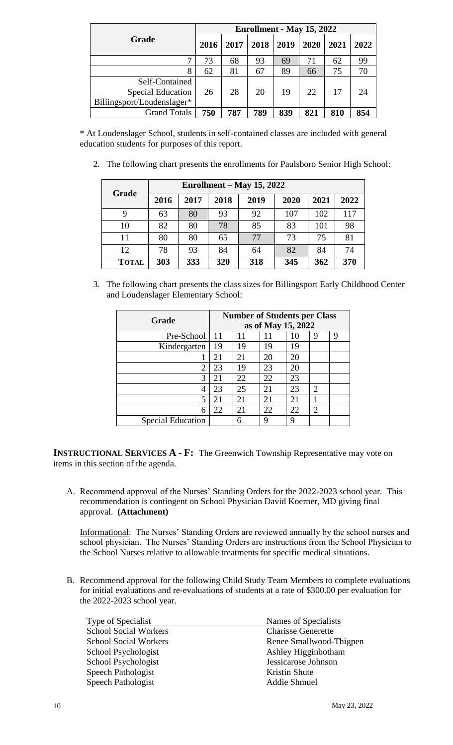|                                                                          | Enrollment - May 15, 2022 |      |      |      |      |      |      |
|--------------------------------------------------------------------------|---------------------------|------|------|------|------|------|------|
| Grade                                                                    | 2016                      | 2017 | 2018 | 2019 | 2020 | 2021 | 2022 |
| ⇁                                                                        | 73                        | 68   | 93   | 69   | 71   | 62   | 99   |
| 8                                                                        | 62                        | 81   | 67   | 89   | 66   | 75   | 70   |
| Self-Contained<br><b>Special Education</b><br>Billingsport/Loudenslager* | 26                        | 28   | 20   | 19   | 22   | 17   | 24   |
| <b>Grand Totals</b>                                                      | 750                       | 787  | 789  | 839  | 821  | 810  | 854  |

\* At Loudenslager School, students in self-contained classes are included with general education students for purposes of this report.

2. The following chart presents the enrollments for Paulsboro Senior High School:

| Grade        | Enrollment – May 15, 2022 |      |      |      |      |      |      |  |
|--------------|---------------------------|------|------|------|------|------|------|--|
|              | 2016                      | 2017 | 2018 | 2019 | 2020 | 2021 | 2022 |  |
| 9            | 63                        | 80   | 93   | 92   | 107  | 102  | 117  |  |
| 10           | 82                        | 80   | 78   | 85   | 83   | 101  | 98   |  |
| 11           | 80                        | 80   | 65   | 77   | 73   | 75   | 81   |  |
| 12           | 78                        | 93   | 84   | 64   | 82   | 84   | 74   |  |
| <b>TOTAL</b> | 303                       | 333  | 320  | 318  | 345  | 362  | 370  |  |

3. The following chart presents the class sizes for Billingsport Early Childhood Center and Loudenslager Elementary School:

| Grade                    | <b>Number of Students per Class</b><br>as of May 15, 2022 |    |    |    |                |   |
|--------------------------|-----------------------------------------------------------|----|----|----|----------------|---|
|                          |                                                           |    |    |    |                |   |
| Pre-School               | 11                                                        | 11 |    | 10 | 9              | 9 |
| Kindergarten             | 19                                                        | 19 | 19 | 19 |                |   |
|                          | 21                                                        | 21 | 20 | 20 |                |   |
| 2                        | 23                                                        | 19 | 23 | 20 |                |   |
| 3                        | 21                                                        | 22 | 22 | 23 |                |   |
| 4                        | 23                                                        | 25 | 21 | 23 | $\overline{c}$ |   |
| 5                        | 21                                                        | 21 | 21 | 21 |                |   |
| 6                        | 22                                                        | 21 | 22 | 22 | $\overline{2}$ |   |
| <b>Special Education</b> |                                                           | 6  | 9  | Q  |                |   |

**INSTRUCTIONAL SERVICES A - F:** The Greenwich Township Representative may vote on items in this section of the agenda.

A. Recommend approval of the Nurses' Standing Orders for the 2022-2023 school year. This recommendation is contingent on School Physician David Koerner, MD giving final approval. **(Attachment)**

Informational: The Nurses' Standing Orders are reviewed annually by the school nurses and school physician. The Nurses' Standing Orders are instructions from the School Physician to the School Nurses relative to allowable treatments for specific medical situations.

B. Recommend approval for the following Child Study Team Members to complete evaluations for initial evaluations and re-evaluations of students at a rate of \$300.00 per evaluation for the 2022-2023 school year.

| Names of Specialists      |
|---------------------------|
| <b>Charisse Generette</b> |
| Renee Smallwood-Thigpen   |
| Ashley Higginbotham       |
| Jessicarose Johnson       |
| Kristin Shute             |
| <b>Addie Shmuel</b>       |
|                           |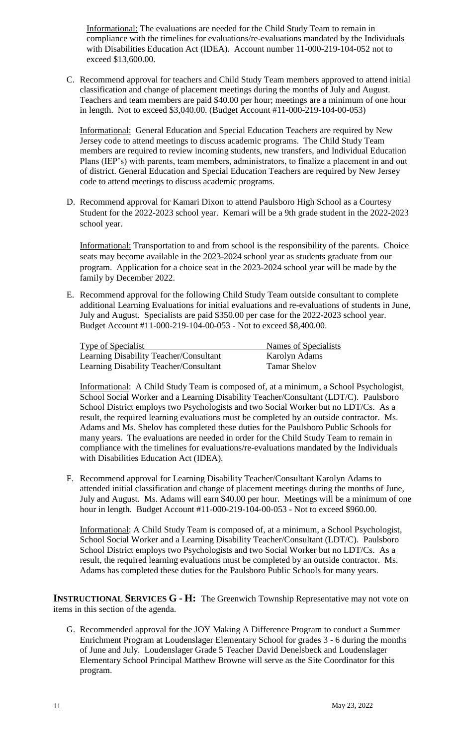Informational: The evaluations are needed for the Child Study Team to remain in compliance with the timelines for evaluations/re-evaluations mandated by the Individuals with Disabilities Education Act (IDEA). Account number 11-000-219-104-052 not to exceed \$13,600.00.

C. Recommend approval for teachers and Child Study Team members approved to attend initial classification and change of placement meetings during the months of July and August. Teachers and team members are paid \$40.00 per hour; meetings are a minimum of one hour in length. Not to exceed \$3,040.00. (Budget Account #11-000-219-104-00-053)

Informational: General Education and Special Education Teachers are required by New Jersey code to attend meetings to discuss academic programs. The Child Study Team members are required to review incoming students, new transfers, and Individual Education Plans (IEP's) with parents, team members, administrators, to finalize a placement in and out of district. General Education and Special Education Teachers are required by New Jersey code to attend meetings to discuss academic programs.

D. Recommend approval for Kamari Dixon to attend Paulsboro High School as a Courtesy Student for the 2022-2023 school year. Kemari will be a 9th grade student in the 2022-2023 school year.

Informational: Transportation to and from school is the responsibility of the parents. Choice seats may become available in the 2023-2024 school year as students graduate from our program. Application for a choice seat in the 2023-2024 school year will be made by the family by December 2022.

E. Recommend approval for the following Child Study Team outside consultant to complete additional Learning Evaluations for initial evaluations and re-evaluations of students in June, July and August. Specialists are paid \$350.00 per case for the 2022-2023 school year. Budget Account #11-000-219-104-00-053 - Not to exceed \$8,400.00.

| <b>Type of Specialist</b>              | Names of Specialists |
|----------------------------------------|----------------------|
| Learning Disability Teacher/Consultant | Karolyn Adams        |
| Learning Disability Teacher/Consultant | <b>Tamar Shelov</b>  |

Informational: A Child Study Team is composed of, at a minimum, a School Psychologist, School Social Worker and a Learning Disability Teacher/Consultant (LDT/C). Paulsboro School District employs two Psychologists and two Social Worker but no LDT/Cs. As a result, the required learning evaluations must be completed by an outside contractor. Ms. Adams and Ms. Shelov has completed these duties for the Paulsboro Public Schools for many years. The evaluations are needed in order for the Child Study Team to remain in compliance with the timelines for evaluations/re-evaluations mandated by the Individuals with Disabilities Education Act (IDEA).

F. Recommend approval for Learning Disability Teacher/Consultant Karolyn Adams to attended initial classification and change of placement meetings during the months of June, July and August. Ms. Adams will earn \$40.00 per hour. Meetings will be a minimum of one hour in length. Budget Account #11-000-219-104-00-053 - Not to exceed \$960.00.

Informational: A Child Study Team is composed of, at a minimum, a School Psychologist, School Social Worker and a Learning Disability Teacher/Consultant (LDT/C). Paulsboro School District employs two Psychologists and two Social Worker but no LDT/Cs. As a result, the required learning evaluations must be completed by an outside contractor. Ms. Adams has completed these duties for the Paulsboro Public Schools for many years.

**INSTRUCTIONAL SERVICES G - H:** The Greenwich Township Representative may not vote on items in this section of the agenda.

G. Recommended approval for the JOY Making A Difference Program to conduct a Summer Enrichment Program at Loudenslager Elementary School for grades 3 - 6 during the months of June and July. Loudenslager Grade 5 Teacher David Denelsbeck and Loudenslager Elementary School Principal Matthew Browne will serve as the Site Coordinator for this program.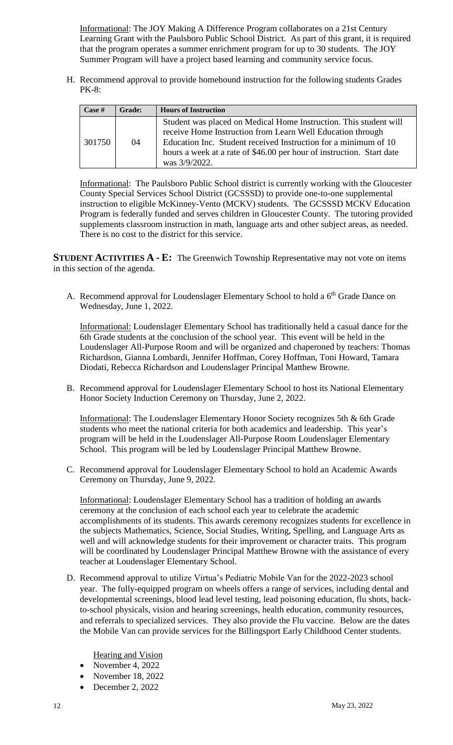Informational: The JOY Making A Difference Program collaborates on a 21st Century Learning Grant with the Paulsboro Public School District. As part of this grant, it is required that the program operates a summer enrichment program for up to 30 students. The JOY Summer Program will have a project based learning and community service focus.

H. Recommend approval to provide homebound instruction for the following students Grades PK-8:

| $\text{Case}~#$ | <b>Grade:</b> | <b>Hours of Instruction</b>                                                                                                                                                                                                                                                                     |
|-----------------|---------------|-------------------------------------------------------------------------------------------------------------------------------------------------------------------------------------------------------------------------------------------------------------------------------------------------|
| 301750          | 04            | Student was placed on Medical Home Instruction. This student will<br>receive Home Instruction from Learn Well Education through<br>Education Inc. Student received Instruction for a minimum of 10<br>hours a week at a rate of \$46.00 per hour of instruction. Start date<br>was $3/9/2022$ . |

Informational: The Paulsboro Public School district is currently working with the Gloucester County Special Services School District (GCSSSD) to provide one-to-one supplemental instruction to eligible McKinney-Vento (MCKV) students. The GCSSSD MCKV Education Program is federally funded and serves children in Gloucester County. The tutoring provided supplements classroom instruction in math, language arts and other subject areas, as needed. There is no cost to the district for this service.

**STUDENT ACTIVITIES A - E:** The Greenwich Township Representative may not vote on items in this section of the agenda.

A. Recommend approval for Loudenslager Elementary School to hold a 6<sup>th</sup> Grade Dance on Wednesday, June 1, 2022.

Informational: Loudenslager Elementary School has traditionally held a casual dance for the 6th Grade students at the conclusion of the school year. This event will be held in the Loudenslager All-Purpose Room and will be organized and chaperoned by teachers: Thomas Richardson, Gianna Lombardi, Jennifer Hoffman, Corey Hoffman, Toni Howard, Tamara Diodati, Rebecca Richardson and Loudenslager Principal Matthew Browne.

B. Recommend approval for Loudenslager Elementary School to host its National Elementary Honor Society Induction Ceremony on Thursday, June 2, 2022.

Informational: The Loudenslager Elementary Honor Society recognizes 5th & 6th Grade students who meet the national criteria for both academics and leadership. This year's program will be held in the Loudenslager All-Purpose Room Loudenslager Elementary School. This program will be led by Loudenslager Principal Matthew Browne.

C. Recommend approval for Loudenslager Elementary School to hold an Academic Awards Ceremony on Thursday, June 9, 2022.

Informational: Loudenslager Elementary School has a tradition of holding an awards ceremony at the conclusion of each school each year to celebrate the academic accomplishments of its students. This awards ceremony recognizes students for excellence in the subjects Mathematics, Science, Social Studies, Writing, Spelling, and Language Arts as well and will acknowledge students for their improvement or character traits. This program will be coordinated by Loudenslager Principal Matthew Browne with the assistance of every teacher at Loudenslager Elementary School.

D. Recommend approval to utilize Virtua's Pediatric Mobile Van for the 2022-2023 school year. The fully-equipped program on wheels offers a range of services, including dental and developmental screenings, blood lead level testing, lead poisoning education, flu shots, backto-school physicals, vision and hearing screenings, health education, community resources, and referrals to specialized services. They also provide the Flu vaccine. Below are the dates the Mobile Van can provide services for the Billingsport Early Childhood Center students.

Hearing and Vision

- November 4, 2022
- November 18, 2022
- December 2, 2022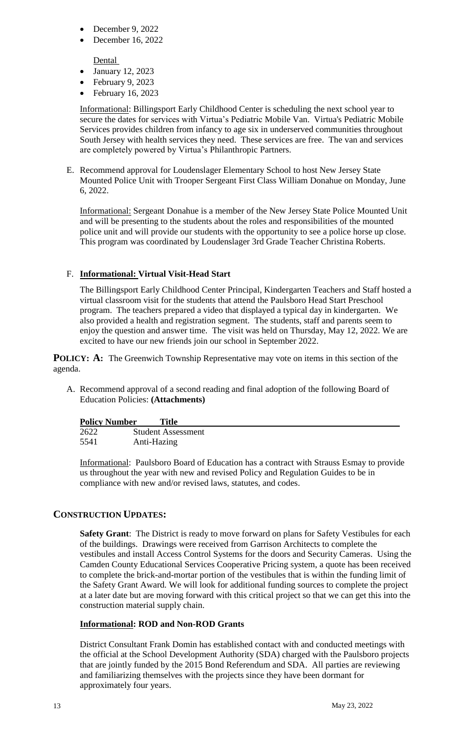- December 9, 2022
- $\bullet$  December 16, 2022

Dental

- January 12, 2023
- $\bullet$  February 9, 2023
- $\bullet$  February 16, 2023

Informational: Billingsport Early Childhood Center is scheduling the next school year to secure the dates for services with Virtua's Pediatric Mobile Van. Virtua's Pediatric Mobile Services provides children from infancy to age six in underserved communities throughout South Jersey with health services they need. These services are free. The van and services are completely powered by Virtua's Philanthropic Partners.

E. Recommend approval for Loudenslager Elementary School to host New Jersey State Mounted Police Unit with Trooper Sergeant First Class William Donahue on Monday, June 6, 2022.

Informational: Sergeant Donahue is a member of the New Jersey State Police Mounted Unit and will be presenting to the students about the roles and responsibilities of the mounted police unit and will provide our students with the opportunity to see a police horse up close. This program was coordinated by Loudenslager 3rd Grade Teacher Christina Roberts.

# F. **Informational: Virtual Visit-Head Start**

The Billingsport Early Childhood Center Principal, Kindergarten Teachers and Staff hosted a virtual classroom visit for the students that attend the Paulsboro Head Start Preschool program. The teachers prepared a video that displayed a typical day in kindergarten. We also provided a health and registration segment. The students, staff and parents seem to enjoy the question and answer time. The visit was held on Thursday, May 12, 2022. We are excited to have our new friends join our school in September 2022.

**POLICY:** A: The Greenwich Township Representative may vote on items in this section of the agenda.

A. Recommend approval of a second reading and final adoption of the following Board of Education Policies: **(Attachments)**

| <b>Policy Number</b> | <b>Title</b>              |
|----------------------|---------------------------|
| 2622                 | <b>Student Assessment</b> |
| 5541                 | Anti-Hazing               |

Informational: Paulsboro Board of Education has a contract with Strauss Esmay to provide us throughout the year with new and revised Policy and Regulation Guides to be in compliance with new and/or revised laws, statutes, and codes.

# **CONSTRUCTION UPDATES:**

**Safety Grant**: The District is ready to move forward on plans for Safety Vestibules for each of the buildings. Drawings were received from Garrison Architects to complete the vestibules and install Access Control Systems for the doors and Security Cameras. Using the Camden County Educational Services Cooperative Pricing system, a quote has been received to complete the brick-and-mortar portion of the vestibules that is within the funding limit of the Safety Grant Award. We will look for additional funding sources to complete the project at a later date but are moving forward with this critical project so that we can get this into the construction material supply chain.

# **Informational: ROD and Non-ROD Grants**

District Consultant Frank Domin has established contact with and conducted meetings with the official at the School Development Authority (SDA) charged with the Paulsboro projects that are jointly funded by the 2015 Bond Referendum and SDA. All parties are reviewing and familiarizing themselves with the projects since they have been dormant for approximately four years.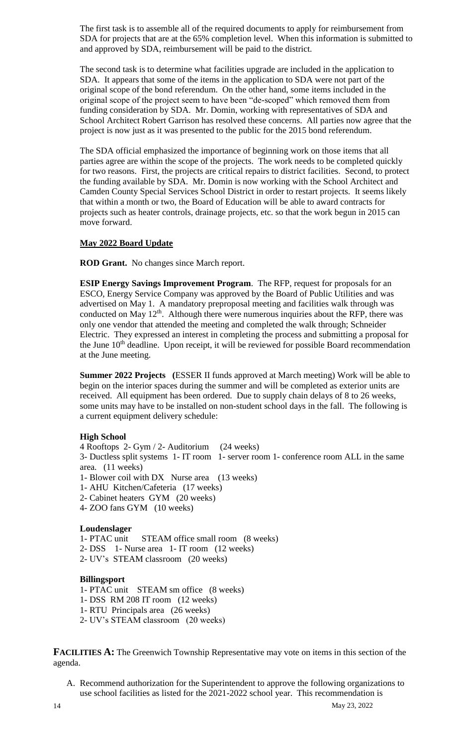The first task is to assemble all of the required documents to apply for reimbursement from SDA for projects that are at the 65% completion level. When this information is submitted to and approved by SDA, reimbursement will be paid to the district.

The second task is to determine what facilities upgrade are included in the application to SDA. It appears that some of the items in the application to SDA were not part of the original scope of the bond referendum. On the other hand, some items included in the original scope of the project seem to have been "de-scoped" which removed them from funding consideration by SDA. Mr. Domin, working with representatives of SDA and School Architect Robert Garrison has resolved these concerns. All parties now agree that the project is now just as it was presented to the public for the 2015 bond referendum.

The SDA official emphasized the importance of beginning work on those items that all parties agree are within the scope of the projects. The work needs to be completed quickly for two reasons. First, the projects are critical repairs to district facilities. Second, to protect the funding available by SDA. Mr. Domin is now working with the School Architect and Camden County Special Services School District in order to restart projects. It seems likely that within a month or two, the Board of Education will be able to award contracts for projects such as heater controls, drainage projects, etc. so that the work begun in 2015 can move forward.

#### **May 2022 Board Update**

**ROD Grant.** No changes since March report.

**ESIP Energy Savings Improvement Program**. The RFP, request for proposals for an ESCO, Energy Service Company was approved by the Board of Public Utilities and was advertised on May 1. A mandatory preproposal meeting and facilities walk through was conducted on May  $12<sup>th</sup>$ . Although there were numerous inquiries about the RFP, there was only one vendor that attended the meeting and completed the walk through; Schneider Electric. They expressed an interest in completing the process and submitting a proposal for the June  $10<sup>th</sup>$  deadline. Upon receipt, it will be reviewed for possible Board recommendation at the June meeting.

**Summer 2022 Projects (**ESSER II funds approved at March meeting) Work will be able to begin on the interior spaces during the summer and will be completed as exterior units are received. All equipment has been ordered. Due to supply chain delays of 8 to 26 weeks, some units may have to be installed on non-student school days in the fall. The following is a current equipment delivery schedule:

#### **High School**

4 Rooftops 2- Gym / 2- Auditorium (24 weeks) 3- Ductless split systems 1- IT room 1- server room 1- conference room ALL in the same area. (11 weeks) 1- Blower coil with DX Nurse area (13 weeks) 1- AHU Kitchen/Cafeteria (17 weeks) 2- Cabinet heaters GYM (20 weeks) 4- ZOO fans GYM (10 weeks)

#### **Loudenslager**

1- PTAC unit STEAM office small room (8 weeks) 2- DSS 1- Nurse area 1- IT room (12 weeks) 2- UV's STEAM classroom (20 weeks)

#### **Billingsport**

1- PTAC unit STEAM sm office (8 weeks) 1- DSS RM 208 IT room (12 weeks) 1- RTU Principals area (26 weeks) 2- UV's STEAM classroom (20 weeks)

**FACILITIES A:** The Greenwich Township Representative may vote on items in this section of the agenda.

A. Recommend authorization for the Superintendent to approve the following organizations to use school facilities as listed for the 2021-2022 school year. This recommendation is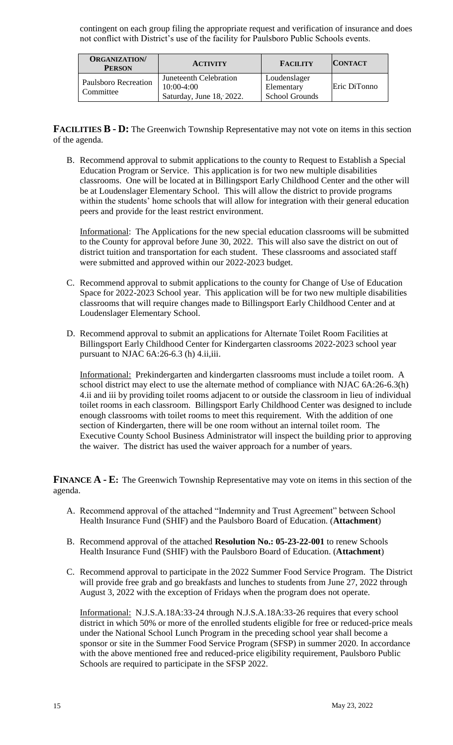contingent on each group filing the appropriate request and verification of insurance and does not conflict with District's use of the facility for Paulsboro Public Schools events.

| <b>ORGANIZATION/</b><br><b>PERSON</b>    | <b>ACTIVITY</b>                                                    | <b>FACILITY</b>                                     | <b>CONTACT</b> |
|------------------------------------------|--------------------------------------------------------------------|-----------------------------------------------------|----------------|
| <b>Paulsboro Recreation</b><br>Committee | Juneteenth Celebration<br>$10:00-4:00$<br>Saturday, June 18, 2022. | Loudenslager<br>Elementary<br><b>School Grounds</b> | Eric DiTonno   |

**FACILITIES B - D:** The Greenwich Township Representative may not vote on items in this section of the agenda.

B. Recommend approval to submit applications to the county to Request to Establish a Special Education Program or Service. This application is for two new multiple disabilities classrooms. One will be located at in Billingsport Early Childhood Center and the other will be at Loudenslager Elementary School. This will allow the district to provide programs within the students' home schools that will allow for integration with their general education peers and provide for the least restrict environment.

Informational: The Applications for the new special education classrooms will be submitted to the County for approval before June 30, 2022. This will also save the district on out of district tuition and transportation for each student. These classrooms and associated staff were submitted and approved within our 2022-2023 budget.

- C. Recommend approval to submit applications to the county for Change of Use of Education Space for 2022-2023 School year. This application will be for two new multiple disabilities classrooms that will require changes made to Billingsport Early Childhood Center and at Loudenslager Elementary School.
- D. Recommend approval to submit an applications for Alternate Toilet Room Facilities at Billingsport Early Childhood Center for Kindergarten classrooms 2022-2023 school year pursuant to NJAC 6A:26-6.3 (h) 4.ii,iii.

Informational: Prekindergarten and kindergarten classrooms must include a toilet room. A school district may elect to use the alternate method of compliance with NJAC 6A:26-6.3(h) 4.ii and iii by providing toilet rooms adjacent to or outside the classroom in lieu of individual toilet rooms in each classroom. Billingsport Early Childhood Center was designed to include enough classrooms with toilet rooms to meet this requirement. With the addition of one section of Kindergarten, there will be one room without an internal toilet room. The Executive County School Business Administrator will inspect the building prior to approving the waiver. The district has used the waiver approach for a number of years.

**FINANCE A - E:** The Greenwich Township Representative may vote on items in this section of the agenda.

- A. Recommend approval of the attached "Indemnity and Trust Agreement" between School Health Insurance Fund (SHIF) and the Paulsboro Board of Education. (**Attachment**)
- B. Recommend approval of the attached **Resolution No.: 05-23-22-001** to renew Schools Health Insurance Fund (SHIF) with the Paulsboro Board of Education. (**Attachment**)
- C. Recommend approval to participate in the 2022 Summer Food Service Program. The District will provide free grab and go breakfasts and lunches to students from June 27, 2022 through August 3, 2022 with the exception of Fridays when the program does not operate.

Informational: N.J.S.A.18A:33-24 through N.J.S.A.18A:33-26 requires that every school district in which 50% or more of the enrolled students eligible for free or reduced-price meals under the National School Lunch Program in the preceding school year shall become a sponsor or site in the Summer Food Service Program (SFSP) in summer 2020. In accordance with the above mentioned free and reduced-price eligibility requirement, Paulsboro Public Schools are required to participate in the SFSP 2022.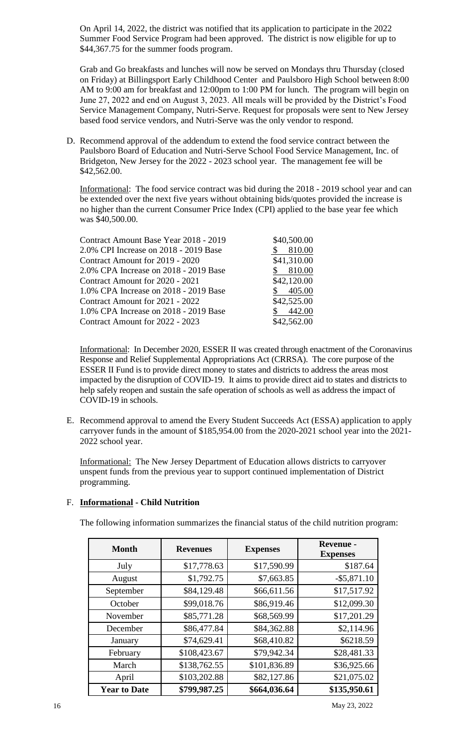On April 14, 2022, the district was notified that its application to participate in the 2022 Summer Food Service Program had been approved. The district is now eligible for up to \$44,367.75 for the summer foods program.

Grab and Go breakfasts and lunches will now be served on Mondays thru Thursday (closed on Friday) at Billingsport Early Childhood Center and Paulsboro High School between 8:00 AM to 9:00 am for breakfast and 12:00pm to 1:00 PM for lunch. The program will begin on June 27, 2022 and end on August 3, 2023. All meals will be provided by the District's Food Service Management Company, Nutri-Serve. Request for proposals were sent to New Jersey based food service vendors, and Nutri-Serve was the only vendor to respond.

D. Recommend approval of the addendum to extend the food service contract between the Paulsboro Board of Education and Nutri-Serve School Food Service Management, Inc. of Bridgeton, New Jersey for the 2022 - 2023 school year. The management fee will be \$42,562.00.

Informational: The food service contract was bid during the 2018 - 2019 school year and can be extended over the next five years without obtaining bids/quotes provided the increase is no higher than the current Consumer Price Index (CPI) applied to the base year fee which was \$40,500.00.

| Contract Amount Base Year 2018 - 2019 | \$40,500.00 |
|---------------------------------------|-------------|
| 2.0% CPI Increase on 2018 - 2019 Base | 810.00      |
| Contract Amount for 2019 - 2020       | \$41,310.00 |
| 2.0% CPA Increase on 2018 - 2019 Base | 810.00      |
| Contract Amount for 2020 - 2021       | \$42,120.00 |
| 1.0% CPA Increase on 2018 - 2019 Base | 405.00      |
| Contract Amount for 2021 - 2022       | \$42,525.00 |
| 1.0% CPA Increase on 2018 - 2019 Base | 442.00      |
| Contract Amount for 2022 - 2023       | \$42,562.00 |

Informational: In December 2020, ESSER II was created through enactment of the Coronavirus Response and Relief Supplemental Appropriations Act (CRRSA). The core purpose of the ESSER II Fund is to provide direct money to states and districts to address the areas most impacted by the disruption of COVID-19. It aims to provide direct aid to states and districts to help safely reopen and sustain the safe operation of schools as well as address the impact of COVID-19 in schools.

E. Recommend approval to amend the Every Student Succeeds Act (ESSA) application to apply carryover funds in the amount of \$185,954.00 from the 2020-2021 school year into the 2021- 2022 school year.

Informational: The New Jersey Department of Education allows districts to carryover unspent funds from the previous year to support continued implementation of District programming.

# F. **Informational - Child Nutrition**

The following information summarizes the financial status of the child nutrition program:

| <b>Month</b>        | <b>Revenues</b> | <b>Expenses</b> | <b>Revenue -</b><br><b>Expenses</b> |
|---------------------|-----------------|-----------------|-------------------------------------|
| July                | \$17,778.63     | \$17,590.99     | \$187.64                            |
| August              | \$1,792.75      | \$7,663.85      | $-$ \$5,871.10                      |
| September           | \$84,129.48     | \$66,611.56     | \$17,517.92                         |
| October             | \$99,018.76     | \$86,919.46     | \$12,099.30                         |
| November            | \$85,771.28     | \$68,569.99     | \$17,201.29                         |
| December            | \$86,477.84     | \$84,362.88     | \$2,114.96                          |
| January             | \$74,629.41     | \$68,410.82     | \$6218.59                           |
| February            | \$108,423.67    | \$79,942.34     | \$28,481.33                         |
| March               | \$138,762.55    | \$101,836.89    | \$36,925.66                         |
| April               | \$103,202.88    | \$82,127.86     | \$21,075.02                         |
| <b>Year to Date</b> | \$799,987.25    | \$664,036.64    | \$135,950.61                        |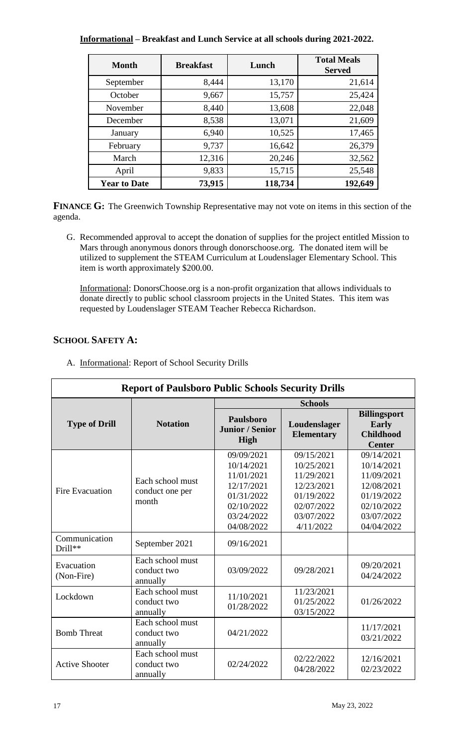# **Informational – Breakfast and Lunch Service at all schools during 2021-2022.**

| <b>Month</b>        | <b>Breakfast</b> | Lunch   | <b>Total Meals</b><br><b>Served</b> |
|---------------------|------------------|---------|-------------------------------------|
| September           | 8,444            | 13,170  | 21,614                              |
| October             | 9,667            | 15,757  | 25,424                              |
| November            | 8,440            | 13,608  | 22,048                              |
| December            | 8,538            | 13,071  | 21,609                              |
| January             | 6,940            | 10,525  | 17,465                              |
| February            | 9,737            | 16,642  | 26,379                              |
| March               | 12,316           | 20,246  | 32,562                              |
| April               | 9,833            | 15,715  | 25,548                              |
| <b>Year to Date</b> | 73,915           | 118,734 | 192,649                             |

**FINANCE G:** The Greenwich Township Representative may not vote on items in this section of the agenda.

G. Recommended approval to accept the donation of supplies for the project entitled Mission to Mars through anonymous donors through donorschoose.org. The donated item will be utilized to supplement the STEAM Curriculum at Loudenslager Elementary School. This item is worth approximately \$200.00.

Informational: DonorsChoose.org is a non-profit organization that allows individuals to donate directly to public school classroom projects in the United States. This item was requested by Loudenslager STEAM Teacher Rebecca Richardson.

# **SCHOOL SAFETY A:**

 $\lceil$ 

| <b>Report of Paulsboro Public Schools Security Drills</b> |                                              |                                                                                                              |                                                                                                             |                                                                                                              |
|-----------------------------------------------------------|----------------------------------------------|--------------------------------------------------------------------------------------------------------------|-------------------------------------------------------------------------------------------------------------|--------------------------------------------------------------------------------------------------------------|
|                                                           |                                              |                                                                                                              | <b>Schools</b>                                                                                              |                                                                                                              |
| <b>Type of Drill</b>                                      | <b>Notation</b>                              | Paulsboro<br><b>Junior / Senior</b><br>High                                                                  | Loudenslager<br><b>Elementary</b>                                                                           | <b>Billingsport</b><br>Early<br><b>Childhood</b><br><b>Center</b>                                            |
| Fire Evacuation                                           | Each school must<br>conduct one per<br>month | 09/09/2021<br>10/14/2021<br>11/01/2021<br>12/17/2021<br>01/31/2022<br>02/10/2022<br>03/24/2022<br>04/08/2022 | 09/15/2021<br>10/25/2021<br>11/29/2021<br>12/23/2021<br>01/19/2022<br>02/07/2022<br>03/07/2022<br>4/11/2022 | 09/14/2021<br>10/14/2021<br>11/09/2021<br>12/08/2021<br>01/19/2022<br>02/10/2022<br>03/07/2022<br>04/04/2022 |
| Communication<br>Drill**                                  | September 2021                               | 09/16/2021                                                                                                   |                                                                                                             |                                                                                                              |
| Evacuation<br>(Non-Fire)                                  | Each school must<br>conduct two<br>annually  | 03/09/2022                                                                                                   | 09/28/2021                                                                                                  | 09/20/2021<br>04/24/2022                                                                                     |
| Lockdown                                                  | Each school must<br>conduct two<br>annually  | 11/10/2021<br>01/28/2022                                                                                     | 11/23/2021<br>01/25/2022<br>03/15/2022                                                                      | 01/26/2022                                                                                                   |
| <b>Bomb Threat</b>                                        | Each school must<br>conduct two<br>annually  | 04/21/2022                                                                                                   |                                                                                                             | 11/17/2021<br>03/21/2022                                                                                     |
| <b>Active Shooter</b>                                     | Each school must<br>conduct two<br>annually  | 02/24/2022                                                                                                   | 02/22/2022<br>04/28/2022                                                                                    | 12/16/2021<br>02/23/2022                                                                                     |

A. Informational: Report of School Security Drills

1